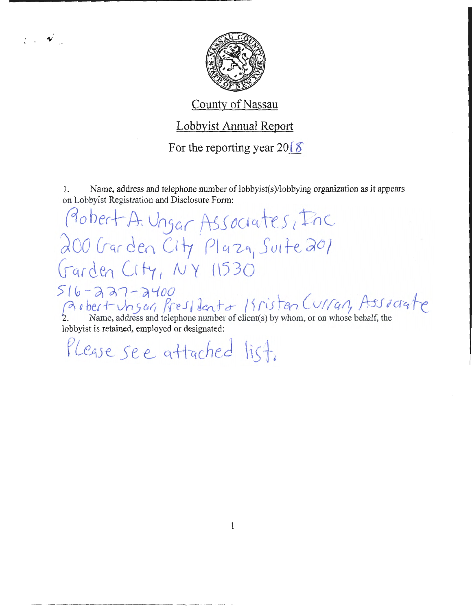

### County of Nassau

### Lobbyist Annual Report

For the reporting year  $20\sqrt{8}$ 

1. Name, address and telephone number of lobbyist(s)/lobbying organization as it appears on Lobbyist Registration and Disclosure Form:

Probert A. Ungar Associates, Inc 200 Garden City Pluza, Suite 201 Garden City, NY 11530  $516 - 227 - 2400$ 

Robert Ungar, Resident a Kristen Curran, Associate lobbyist is retained, employed or designated:

Please see attached list.

 $\mathbf{y} = \mathbf{y}$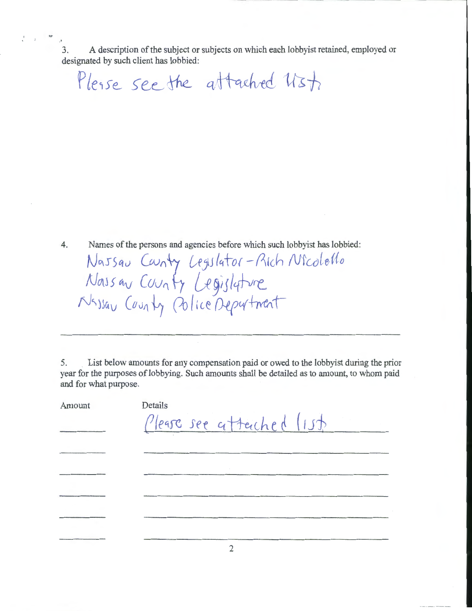·' 3. A description of the subject or subjects on which each lobbyist retained, employed or designated by such client has lobbied:

Please see the attached Ust.

.,.

4. Names of the persons and agencies before which such lobbyist has lobbied: Nassau Caunty Legislator-Rich Nicolello *NrAJS c.v Cuv(j* {r *G-e* yiJ *1'{1-vrt.* 

 $N$ sysav (ourly Colice Deputment

5. List below amounts for any compensation paid or owed to the lobbyist during the prior year for the purposes of lobbying. Such amounts shall be detailed as to amount, to whom paid and for what purpose.

| Amount | Details<br>Please see attached list |
|--------|-------------------------------------|
|        |                                     |
|        |                                     |
|        |                                     |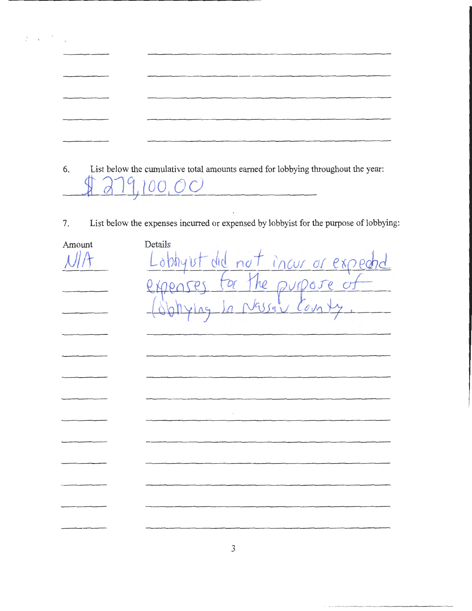| 6. | List below the cumulative total amounts earned for lobbying throughout the year: |
|----|----------------------------------------------------------------------------------|

 $\frac{1}{2} \left( \frac{1}{2} \right) \left( \frac{1}{2} \right) \left( \frac{1}{2} \right) \left( \frac{1}{2} \right) \left( \frac{1}{2} \right)$ 

- $00,00$
- List below the expenses incurred or expensed by lobbyist for the purpose of lobbying: 7.

| Amount | Details                                                          |
|--------|------------------------------------------------------------------|
|        |                                                                  |
|        |                                                                  |
|        | Lobbyut did not incur or expected<br>expenses for the purpose of |
|        |                                                                  |
|        |                                                                  |
|        |                                                                  |
|        |                                                                  |
|        |                                                                  |
|        |                                                                  |
|        |                                                                  |
|        |                                                                  |
|        |                                                                  |
|        |                                                                  |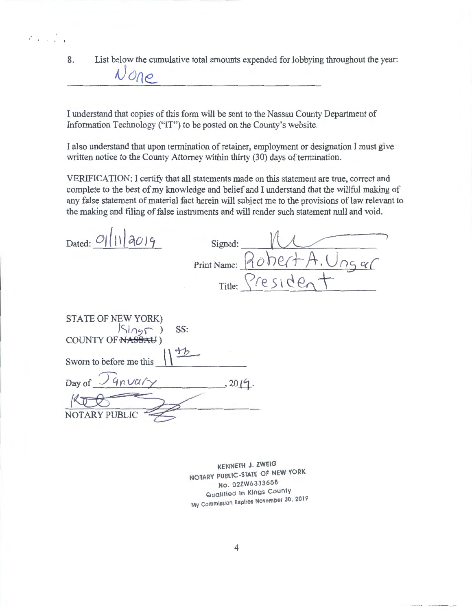8. List below the cumulative total amounts expended for lobbying throughout the year:

I understand that copies of this form will be sent to the Nassau County Department of Information Technology ("IT") to be posted on the County's website.

I also understand that upon termination of retainer, employment or designation I must give written notice to the County Attorney within thirty (30) days of termination.

VERIFICATION: I certify that all statements made on this statement are true, correct and complete to the best of my knowledge and belief and I understand that the willful making of any false statement of material fact herein will subject me to the provisions of law relevant to the making and filing of false instruments and will render such statement null and void.

| Dated: $O( 1 )$ a(c) $9$ | Signed: |                               |
|--------------------------|---------|-------------------------------|
|                          |         | Print Name: $Roker+A, U_{NS}$ |
|                          |         | Title: President              |

| SS:                                           |       |
|-----------------------------------------------|-------|
| STATE OF NEW YORK)<br>(Sing COUNTY OF NASSAU) |       |
| Sworn to before me this                       |       |
| Day of $\log$ 4n vary                         | 2019. |
|                                               |       |
| NOTARY PUBLIC                                 |       |

AJ *one\_* 

 $\mathbf{r}^{\prime}$   $\mathbf{r}$   $\mathbf{r}$   $\mathbf{r}$   $\mathbf{r}$ 

KENNETH J. ZWEIG NOTARY PUBLIC-STATE OF NEW YORK No. 02ZW6333658 Qualified In Kings County My Commission Expires November 30, 2019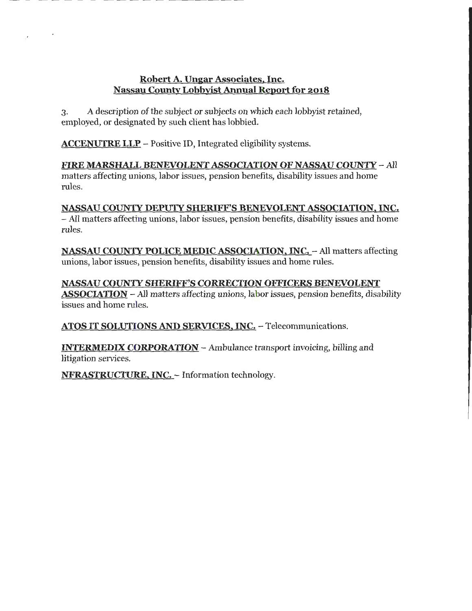#### Robert A. Ungar Associates, Inc. Nassau County Lobbyist Annual Report for 2018

3. A description of the subject or subjects on which each lobbyist retained, employed, or designated by such client has lobbied.

ACCENUTRE LLP - Positive ID, Integrated eligibility systems.

.•

FIRE MARSHALL BENEVOLENT ASSOCIATION OF NASSAU COUNTY- All matters affecting unions, labor issues, pension benefits, disability issues and home rules.

NASSAU COUNTY DEPUfY SHERIFF'S BENEVOLENT ASSOCIATION, INC. - All matters affecting unions, labor issues, pension benefits, disability issues and home rules.

NASSAU COUNTY POLICE MEDIC ASSOCIATION, INC. - All matters affecting unions, labor issues, pension benefits, disability issues and home rules.

NASSAU COUNTY SHERIFF'S CORRECTION OFFICERS BENEVOLENT ASSOCIATION - All matters affecting unions, labor issues, pension benefits, disability issues and home rules.

ATOS IT SOLUTIONS AND SERVICES, INC. - Telecommunications.

INTERMEDIX CORPORATION -Ambulance transport invoicing, billing and litigation services.

NFRASTRUCTURE, INC. - Information technology.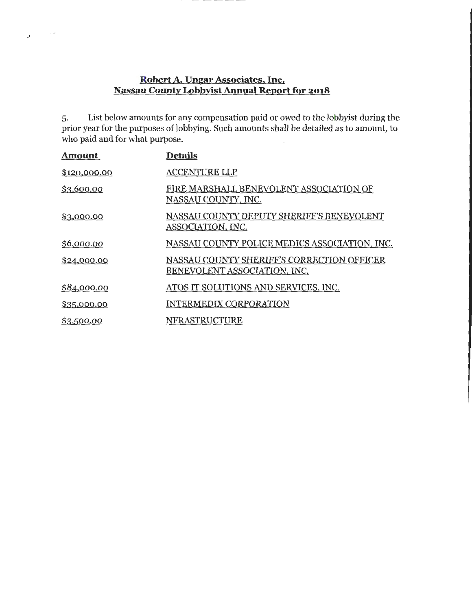#### **Robert A. Ungar Associates, Inc. Nassau County Lobbyist Annual Report for 2018**

 $\sim$   $\omega$ 

 $\mathcal{G}$ 

5. List below amounts for any compensation paid or owed to the lobbyist during the prior year for the purposes of lobbying. Such amounts shall be detailed as to amount, to who paid and for what purpose.

| <u>Amount</u> | <b>Details</b>                                                             |
|---------------|----------------------------------------------------------------------------|
| \$120,000.00  | <b>ACCENTURE LLP</b>                                                       |
| \$3,600.00    | FIRE MARSHALL BENEVOLENT ASSOCIATION OF<br>NASSAU COUNTY, INC.             |
| \$3,000.00    | NASSAU COUNTY DEPUTY SHERIFF'S BENEVOLENT<br>ASSOCIATION, INC.             |
| \$6,000.00    | NASSAU COUNTY POLICE MEDICS ASSOCIATION, INC.                              |
| \$24,000.00   | NASSAU COUNTY SHERIFF'S CORRECTION OFFICER<br>BENEVOLENT ASSOCIATION, INC. |
| \$84,000.00   | ATOS IT SOLUTIONS AND SERVICES, INC.                                       |
| \$35,000.00   | <b>INTERMEDIX CORPORATION</b>                                              |
| \$3,500.00    | NFRASTRUCTURE                                                              |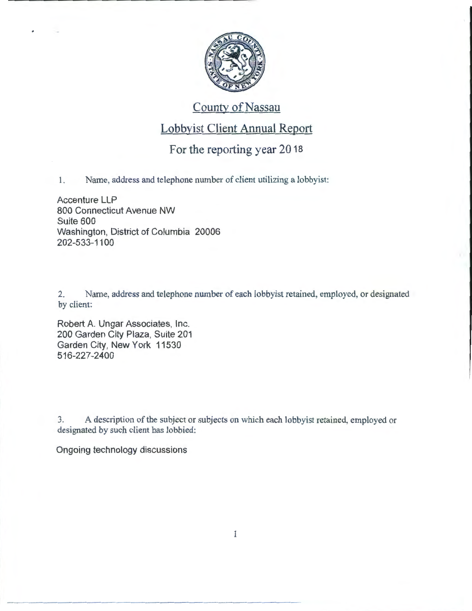

# County of Nassau

# Lobbyist Client Annual Report

### For the reporting year 2018

1. Name, address and telephone number of client utilizing a lobbyist:

Accenture LLP 800 Connecticut Avenue NW Suite 600 Washington, District of Columbia 20006 202-533-11 00

2. Name, address and telephone number of each lobbyist retained, employed, or designated by client:

Robert A. Ungar Associates, Inc. 200 Garden City Plaza, Suite 201 Garden City, New York 11530 516-227-2400

3. A description of the subject or subjects on which each lobbyist retained, employed or designated by such client has lobbied:

Ongoing technology discussions

1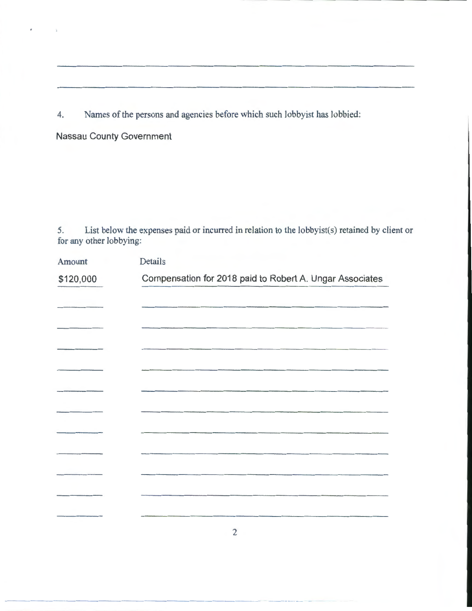4. Names of the persons and agencies before which such lobbyist has lobbied:

**Nassau County Government** 

 $\bar{\bf r}$ 

 $\bar{\mathbf{z}}$ 

--------------------------

5. List below the expenses paid or incurred in relation to the lobbyist(s) retained by client or for any other lobbying:

| Amount    | Details                                                  |
|-----------|----------------------------------------------------------|
| \$120,000 | Compensation for 2018 paid to Robert A. Ungar Associates |
|           |                                                          |
|           |                                                          |
|           |                                                          |
|           |                                                          |
|           |                                                          |
|           |                                                          |
|           |                                                          |
|           |                                                          |
|           |                                                          |
|           |                                                          |
|           |                                                          |